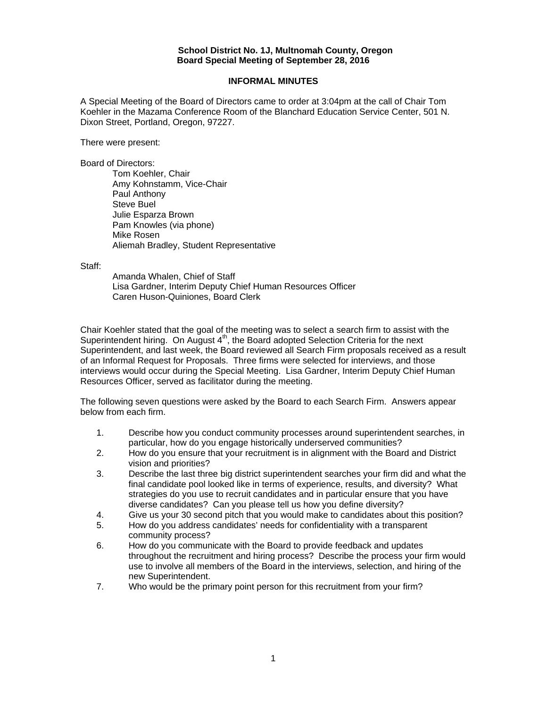#### **School District No. 1J, Multnomah County, Oregon Board Special Meeting of September 28, 2016**

### **INFORMAL MINUTES**

A Special Meeting of the Board of Directors came to order at 3:04pm at the call of Chair Tom Koehler in the Mazama Conference Room of the Blanchard Education Service Center, 501 N. Dixon Street, Portland, Oregon, 97227.

There were present:

Board of Directors:

Tom Koehler, Chair Amy Kohnstamm, Vice-Chair Paul Anthony Steve Buel Julie Esparza Brown Pam Knowles (via phone) Mike Rosen Aliemah Bradley, Student Representative

Staff:

 Amanda Whalen, Chief of Staff Lisa Gardner, Interim Deputy Chief Human Resources Officer Caren Huson-Quiniones, Board Clerk

Chair Koehler stated that the goal of the meeting was to select a search firm to assist with the Superintendent hiring. On August  $4<sup>th</sup>$ , the Board adopted Selection Criteria for the next Superintendent, and last week, the Board reviewed all Search Firm proposals received as a result of an Informal Request for Proposals. Three firms were selected for interviews, and those interviews would occur during the Special Meeting. Lisa Gardner, Interim Deputy Chief Human Resources Officer, served as facilitator during the meeting.

The following seven questions were asked by the Board to each Search Firm. Answers appear below from each firm.

- 1. Describe how you conduct community processes around superintendent searches, in particular, how do you engage historically underserved communities?
- 2. How do you ensure that your recruitment is in alignment with the Board and District vision and priorities?
- 3. Describe the last three big district superintendent searches your firm did and what the final candidate pool looked like in terms of experience, results, and diversity? What strategies do you use to recruit candidates and in particular ensure that you have diverse candidates? Can you please tell us how you define diversity?
- 4. Give us your 30 second pitch that you would make to candidates about this position?
- 5. How do you address candidates' needs for confidentiality with a transparent community process?
- 6. How do you communicate with the Board to provide feedback and updates throughout the recruitment and hiring process? Describe the process your firm would use to involve all members of the Board in the interviews, selection, and hiring of the new Superintendent.
- 7. Who would be the primary point person for this recruitment from your firm?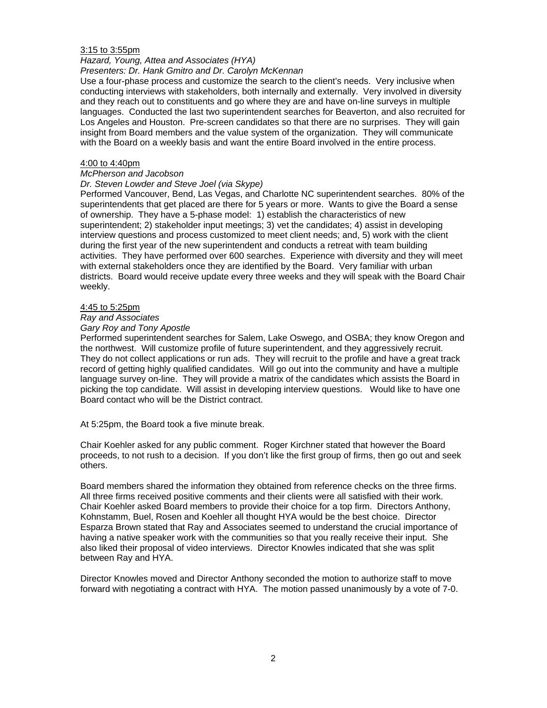#### 3:15 to 3:55pm

# *Hazard, Young, Attea and Associates (HYA)*

## *Presenters: Dr. Hank Gmitro and Dr. Carolyn McKennan*

Use a four-phase process and customize the search to the client's needs. Very inclusive when conducting interviews with stakeholders, both internally and externally. Very involved in diversity and they reach out to constituents and go where they are and have on-line surveys in multiple languages. Conducted the last two superintendent searches for Beaverton, and also recruited for Los Angeles and Houston. Pre-screen candidates so that there are no surprises. They will gain insight from Board members and the value system of the organization. They will communicate with the Board on a weekly basis and want the entire Board involved in the entire process.

#### 4:00 to 4:40pm

#### *McPherson and Jacobson*

#### *Dr. Steven Lowder and Steve Joel (via Skype)*

Performed Vancouver, Bend, Las Vegas, and Charlotte NC superintendent searches. 80% of the superintendents that get placed are there for 5 years or more. Wants to give the Board a sense of ownership. They have a 5-phase model: 1) establish the characteristics of new superintendent; 2) stakeholder input meetings; 3) vet the candidates; 4) assist in developing interview questions and process customized to meet client needs; and, 5) work with the client during the first year of the new superintendent and conducts a retreat with team building activities. They have performed over 600 searches. Experience with diversity and they will meet with external stakeholders once they are identified by the Board. Very familiar with urban districts. Board would receive update every three weeks and they will speak with the Board Chair weekly.

### 4:45 to 5:25pm

## *Ray and Associates*

#### *Gary Roy and Tony Apostle*

Performed superintendent searches for Salem, Lake Oswego, and OSBA; they know Oregon and the northwest. Will customize profile of future superintendent, and they aggressively recruit. They do not collect applications or run ads. They will recruit to the profile and have a great track record of getting highly qualified candidates. Will go out into the community and have a multiple language survey on-line. They will provide a matrix of the candidates which assists the Board in picking the top candidate. Will assist in developing interview questions. Would like to have one Board contact who will be the District contract.

At 5:25pm, the Board took a five minute break.

Chair Koehler asked for any public comment. Roger Kirchner stated that however the Board proceeds, to not rush to a decision. If you don't like the first group of firms, then go out and seek others.

Board members shared the information they obtained from reference checks on the three firms. All three firms received positive comments and their clients were all satisfied with their work. Chair Koehler asked Board members to provide their choice for a top firm. Directors Anthony, Kohnstamm, Buel, Rosen and Koehler all thought HYA would be the best choice. Director Esparza Brown stated that Ray and Associates seemed to understand the crucial importance of having a native speaker work with the communities so that you really receive their input. She also liked their proposal of video interviews. Director Knowles indicated that she was split between Ray and HYA.

Director Knowles moved and Director Anthony seconded the motion to authorize staff to move forward with negotiating a contract with HYA. The motion passed unanimously by a vote of 7-0.